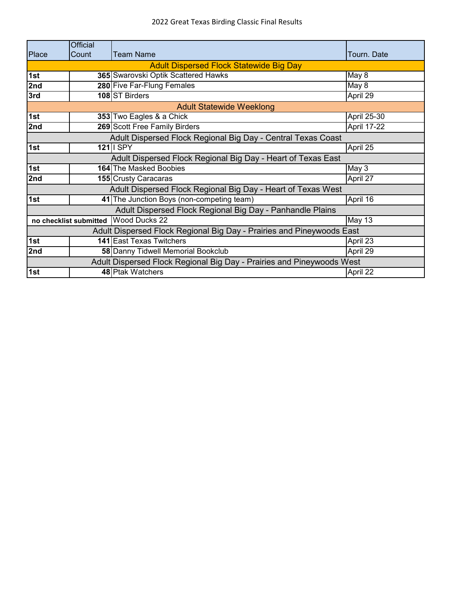|                                                                       | <b>Official</b>                                       |                                                                       |                    |  |
|-----------------------------------------------------------------------|-------------------------------------------------------|-----------------------------------------------------------------------|--------------------|--|
| Place                                                                 | Count                                                 | <b>Team Name</b>                                                      | Tourn. Date        |  |
|                                                                       |                                                       | <b>Adult Dispersed Flock Statewide Big Day</b>                        |                    |  |
| 1st                                                                   |                                                       | 365 Swarovski Optik Scattered Hawks                                   | May 8              |  |
| 2nd                                                                   |                                                       | 280 Five Far-Flung Females                                            | May 8              |  |
| 3rd                                                                   |                                                       | 108 ST Birders                                                        | April 29           |  |
|                                                                       |                                                       | <b>Adult Statewide Weeklong</b>                                       |                    |  |
| 1st                                                                   |                                                       | 353 Two Eagles & a Chick                                              | April 25-30        |  |
| 2nd                                                                   |                                                       | 269 Scott Free Family Birders                                         | <b>April 17-22</b> |  |
|                                                                       |                                                       | Adult Dispersed Flock Regional Big Day - Central Texas Coast          |                    |  |
| 1st                                                                   |                                                       | $121$ II SPY                                                          | April 25           |  |
| Adult Dispersed Flock Regional Big Day - Heart of Texas East          |                                                       |                                                                       |                    |  |
| 1st                                                                   |                                                       | <b>164</b> The Masked Boobies                                         | May 3              |  |
| 2nd                                                                   |                                                       | <b>155 Crusty Caracaras</b>                                           | April 27           |  |
| Adult Dispersed Flock Regional Big Day - Heart of Texas West          |                                                       |                                                                       |                    |  |
| 1st                                                                   |                                                       | 41 The Junction Boys (non-competing team)                             | April 16           |  |
| Adult Dispersed Flock Regional Big Day - Panhandle Plains             |                                                       |                                                                       |                    |  |
|                                                                       | no checklist submitted Wood Ducks 22<br><b>May 13</b> |                                                                       |                    |  |
| Adult Dispersed Flock Regional Big Day - Prairies and Pineywoods East |                                                       |                                                                       |                    |  |
| 1st                                                                   |                                                       | <b>141 East Texas Twitchers</b>                                       | April 23           |  |
| 2nd                                                                   |                                                       | 58 Danny Tidwell Memorial Bookclub                                    | April 29           |  |
|                                                                       |                                                       | Adult Dispersed Flock Regional Big Day - Prairies and Pineywoods West |                    |  |
| 1st                                                                   |                                                       | 48 Ptak Watchers                                                      | April 22           |  |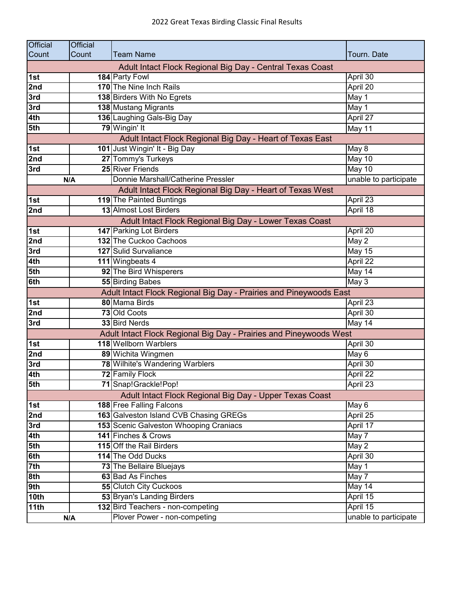| <b>Official</b> | <b>Official</b> |                                                                    |                            |
|-----------------|-----------------|--------------------------------------------------------------------|----------------------------|
| Count           | Count           | <b>Team Name</b>                                                   | Tourn. Date                |
|                 |                 | Adult Intact Flock Regional Big Day - Central Texas Coast          |                            |
| 1st             |                 | 184 Party Fowl                                                     | April 30                   |
| 2nd             |                 | 170 The Nine Inch Rails                                            | April 20                   |
| 3rd             |                 | 138 Birders With No Egrets                                         | May 1                      |
| 3rd             |                 | <b>138 Mustang Migrants</b>                                        | May 1                      |
| 4th             |                 | 136 Laughing Gals-Big Day                                          | April 27                   |
| 5th             |                 | 79 Wingin' It                                                      | May 11                     |
|                 |                 | Adult Intact Flock Regional Big Day - Heart of Texas East          |                            |
| 1st             |                 | 101 Just Wingin' It - Big Day                                      | May 8                      |
| 2nd             |                 | 27 Tommy's Turkeys                                                 | May 10                     |
| 3rd             |                 | 25 River Friends                                                   | May 10                     |
|                 | N/A             | Donnie Marshall/Catherine Pressler                                 | unable to participate      |
|                 |                 | Adult Intact Flock Regional Big Day - Heart of Texas West          |                            |
| 1st             |                 | 119 The Painted Buntings                                           | April 23                   |
| 2nd             |                 | 13 Almost Lost Birders                                             | April 18                   |
|                 |                 | Adult Intact Flock Regional Big Day - Lower Texas Coast            |                            |
| 1st             |                 | 147 Parking Lot Birders                                            | April 20                   |
| 2nd             |                 | 132 The Cuckoo Cachoos                                             | May 2                      |
| 3rd             |                 | 127 Sulid Survaliance                                              | <b>May 15</b>              |
| 4th             |                 | 111 Wingbeats 4                                                    | April 22                   |
| 5th             |                 | 92 The Bird Whisperers                                             | $\overline{\text{May }14}$ |
| 6th             |                 | <b>55 Birding Babes</b>                                            | $\overline{M}$ ay 3        |
|                 |                 | Adult Intact Flock Regional Big Day - Prairies and Pineywoods East |                            |
| 1st             |                 | 80 Mama Birds                                                      | April 23                   |
| 2nd             |                 | 73 Old Coots                                                       | April 30                   |
| 3rd             |                 | 33 Bird Nerds                                                      | May 14                     |
|                 |                 | Adult Intact Flock Regional Big Day - Prairies and Pineywoods West |                            |
| 1st             |                 | 118 Wellborn Warblers                                              | April 30                   |
| 2nd             |                 | 89 Wichita Wingmen                                                 | May 6                      |
| 3rd             |                 | 78 Wilhite's Wandering Warblers                                    | April 30                   |
| 4th             |                 | 72 Family Flock                                                    | April 22                   |
| 5th             |                 | 71 Snap! Grackle! Pop!                                             | April 23                   |
|                 |                 | Adult Intact Flock Regional Big Day - Upper Texas Coast            |                            |
| 1st             |                 | 188 Free Falling Falcons                                           | May 6                      |
| 2nd             |                 | 163 Galveston Island CVB Chasing GREGs                             | April 25                   |
| 3rd             |                 | 153 Scenic Galveston Whooping Craniacs                             | April 17                   |
| 4th             |                 | 141 Finches & Crows                                                | May 7                      |
| 5th             |                 | 115 Off the Rail Birders                                           | May 2                      |
| 6th             |                 | 114 The Odd Ducks                                                  | April 30                   |
| 7th             |                 | 73 The Bellaire Bluejays                                           | May 1                      |
| 8th             |                 | 63 Bad As Finches                                                  | May 7                      |
| 9th             |                 | <b>55 Clutch City Cuckoos</b>                                      | May 14                     |
| 10th            |                 | 53 Bryan's Landing Birders                                         | April 15                   |
| 11th            |                 | 132 Bird Teachers - non-competing                                  | April 15                   |
|                 | N/A             | Plover Power - non-competing                                       | unable to participate      |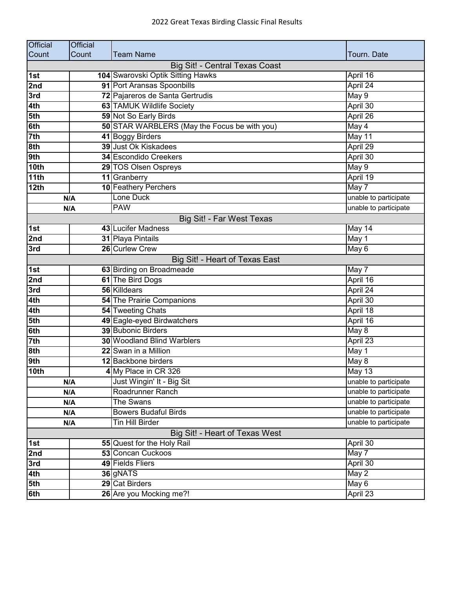| <b>Official</b>  | <b>Official</b> |                                              |                       |
|------------------|-----------------|----------------------------------------------|-----------------------|
| Count            | Count           | Team Name                                    | Tourn. Date           |
|                  |                 | <b>Big Sit! - Central Texas Coast</b>        |                       |
| 1st              |                 | 104 Swarovski Optik Sitting Hawks            | April 16              |
| 2nd              |                 | 91 Port Aransas Spoonbills                   | April 24              |
| 3rd              |                 | 72 Pajareros de Santa Gertrudis              | May 9                 |
| 4th              |                 | 63 TAMUK Wildlife Society                    | April 30              |
| 5th              |                 | 59 Not So Early Birds                        | April 26              |
| 6th              |                 | 50 STAR WARBLERS (May the Focus be with you) | May 4                 |
| 7 <sub>th</sub>  |                 | 41 Boggy Birders                             | May 11                |
| 8th              |                 | 39 Just Ok Kiskadees                         | April 29              |
| 9th              |                 | 34 Escondido Creekers                        | April 30              |
| 10th             |                 | 29 TOS Olsen Ospreys                         | May 9                 |
| 11th             |                 | 11 Granberry                                 | April 19              |
| 12th             |                 | 10 Feathery Perchers                         | May 7                 |
|                  | N/A             | Lone Duck                                    | unable to participate |
|                  | N/A             | <b>PAW</b>                                   | unable to participate |
|                  |                 | Big Sit! - Far West Texas                    |                       |
| 1st              |                 | 43 Lucifer Madness                           | May 14                |
| 2nd              |                 | 31 Playa Pintails                            | May 1                 |
| 3rd              |                 | 26 Curlew Crew                               | May 6                 |
|                  |                 | Big Sit! - Heart of Texas East               |                       |
| 1st              |                 | 63 Birding on Broadmeade                     | May 7                 |
| 2nd              |                 | 61 The Bird Dogs                             | April 16              |
| 3rd              |                 | 56 Killdears                                 | April 24              |
| 4th              |                 | <b>54 The Prairie Companions</b>             | April 30              |
| 4th              |                 | 54 Tweeting Chats                            | April 18              |
| 5th              |                 | 49 Eagle-eyed Birdwatchers                   | April 16              |
| 6th              |                 | 39 Bubonic Birders                           | May 8                 |
| 7 <sup>th</sup>  |                 | <b>30 Woodland Blind Warblers</b>            | April 23              |
| 8th              |                 | 22 Swan in a Million                         | May 1                 |
| 9th              |                 | 12 Backbone birders                          | May 8                 |
| 10th             |                 | 4 My Place in CR 326                         | <b>May 13</b>         |
|                  | N/A             | Just Wingin' It - Big Sit                    | unable to participate |
|                  | N/A             | Roadrunner Ranch                             | unable to participate |
|                  | N/A             | The Swans                                    | unable to participate |
| N/A              |                 | <b>Bowers Budaful Birds</b>                  | unable to participate |
| N/A              |                 | <b>Tin Hill Birder</b>                       | unable to participate |
|                  |                 | Big Sit! - Heart of Texas West               |                       |
| 1st              |                 | 55 Quest for the Holy Rail                   | April 30              |
| 2nd              |                 | 53 Concan Cuckoos                            | May 7                 |
| 3rd              |                 | 49 Fields Fliers                             | April 30              |
| 4th              |                 | 36 gNATS                                     | May 2                 |
| $\overline{5}th$ |                 | 29 Cat Birders                               | May 6                 |
| 6th              |                 | 26 Are you Mocking me?!                      | April 23              |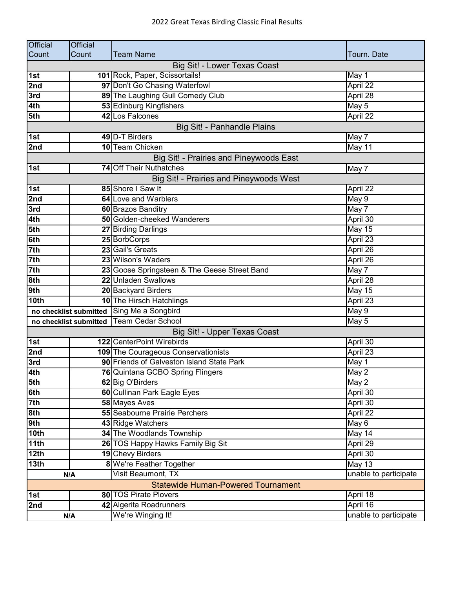| <b>Official</b>                           | <b>Official</b> |                                              |                       |
|-------------------------------------------|-----------------|----------------------------------------------|-----------------------|
| Count                                     | Count           | <b>Team Name</b>                             | Tourn. Date           |
|                                           |                 | Big Sit! - Lower Texas Coast                 |                       |
| 1st                                       |                 | 101 Rock, Paper, Scissortails!               | May 1                 |
| 2nd                                       |                 | 97 Don't Go Chasing Waterfowl                | April 22              |
| 3rd                                       |                 | 89 The Laughing Gull Comedy Club             | April 28              |
| 4th                                       |                 | 53 Edinburg Kingfishers                      | May 5                 |
| 5th                                       |                 | 42 Los Falcones                              | April 22              |
|                                           |                 | Big Sit! - Panhandle Plains                  |                       |
| 1st                                       |                 | 49 D-T Birders                               | May 7                 |
| 2nd                                       |                 | 10 Team Chicken                              | May 11                |
|                                           |                 | Big Sit! - Prairies and Pineywoods East      |                       |
| 1st                                       |                 | 74 Off Their Nuthatches                      | May 7                 |
|                                           |                 | Big Sit! - Prairies and Pineywoods West      |                       |
| 1st                                       |                 | 85 Shore I Saw It                            | April 22              |
| 2nd                                       |                 | <b>64 Love and Warblers</b>                  | May 9                 |
| 3rd                                       |                 | 60 Brazos Banditry                           | May 7                 |
| 4th                                       |                 | <b>50 Golden-cheeked Wanderers</b>           | April 30              |
| 5th                                       |                 | 27 Birding Darlings                          | <b>May 15</b>         |
| 6th                                       |                 | 25 BorbCorps                                 | April 23              |
| 7th                                       |                 | 23 Gail's Greats                             | April 26              |
| 7th                                       |                 | 23 Wilson's Waders                           | April 26              |
| 7th                                       |                 | 23 Goose Springsteen & The Geese Street Band | May 7                 |
| 8th                                       |                 | 22 Unladen Swallows                          | April 28              |
| 9th                                       |                 | 20 Backyard Birders                          | <b>May 15</b>         |
| 10th                                      |                 | 10 The Hirsch Hatchlings                     | April 23              |
|                                           |                 | no checklist submitted Sing Me a Songbird    | May 9                 |
|                                           |                 | no checklist submitted   Team Cedar School   | May 5                 |
|                                           |                 | Big Sit! - Upper Texas Coast                 |                       |
| 1st                                       |                 | 122 CenterPoint Wirebirds                    | April 30              |
| 2nd                                       |                 | 109 The Courageous Conservationists          | April 23              |
| 3rd                                       |                 | 90 Friends of Galveston Island State Park    | May 1                 |
| 4th                                       |                 | 76 Quintana GCBO Spring Flingers             | May 2                 |
| 5th                                       |                 | 62 Big O'Birders                             | May 2                 |
| 6th                                       |                 | 60 Cullinan Park Eagle Eyes                  | April 30              |
| 7 <sup>th</sup>                           |                 | 58 Mayes Aves                                | April 30              |
| 8th                                       |                 | <b>55</b> Seabourne Prairie Perchers         | April 22              |
| 9th                                       |                 | 43 Ridge Watchers                            | May 6                 |
| 10th                                      |                 | 34 The Woodlands Township                    | May 14                |
| 11th                                      |                 | 26 TOS Happy Hawks Family Big Sit            | April 29              |
| 12th                                      |                 | 19 Chevy Birders                             | April 30              |
| 13 <sub>th</sub>                          |                 | 8 We're Feather Together                     | May 13                |
| N/A                                       |                 | Visit Beaumont, TX                           | unable to participate |
| <b>Statewide Human-Powered Tournament</b> |                 |                                              |                       |
| 1st                                       |                 | <b>80 TOS Pirate Plovers</b>                 | April 18              |
| 2nd                                       |                 | 42 Algerita Roadrunners                      | April 16              |
|                                           | N/A             | We're Winging It!                            | unable to participate |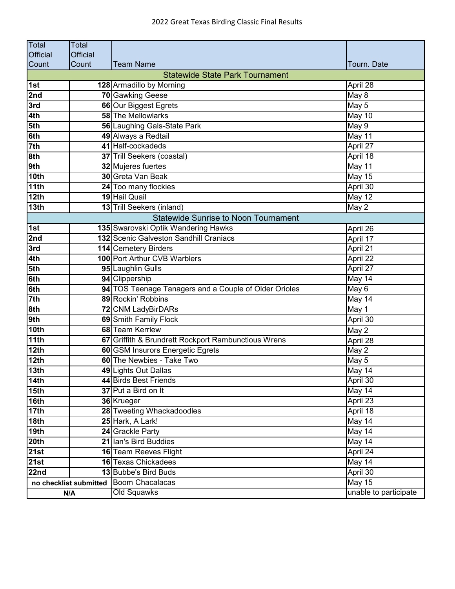| Total              | <b>Total</b>           |                                                       |                       |
|--------------------|------------------------|-------------------------------------------------------|-----------------------|
| <b>Official</b>    | <b>Official</b>        |                                                       |                       |
| Count              | Count                  | <b>Team Name</b>                                      | Tourn. Date           |
|                    |                        | <b>Statewide State Park Tournament</b>                |                       |
| 1st                |                        | 128 Armadillo by Morning                              | April 28              |
| 2nd                |                        | 70 Gawking Geese                                      | May 8                 |
| 3rd                |                        | 66 Our Biggest Egrets                                 | May 5                 |
| 4th                |                        | 58 The Mellowlarks                                    | May 10                |
| 5th                |                        | 56 Laughing Gals-State Park                           | May 9                 |
| 6th                |                        | 49 Always a Redtail                                   | May 11                |
| 7th                |                        | 41 Half-cockadeds                                     | April 27              |
| 8th                |                        | 37 Trill Seekers (coastal)                            | April 18              |
| 9th                |                        | 32 Mujeres fuertes                                    | May 11                |
| 10th               |                        | 30 Greta Van Beak                                     | May 15                |
| 11th               |                        | 24 Too many flockies                                  | April 30              |
| 12 <sub>th</sub>   |                        | 19 Hail Quail                                         | May 12                |
| 13 <sub>th</sub>   |                        | 13 Trill Seekers (inland)                             | May 2                 |
|                    |                        | <b>Statewide Sunrise to Noon Tournament</b>           |                       |
| 1st                |                        | 135 Swarovski Optik Wandering Hawks                   | April 26              |
| 2nd                |                        | 132 Scenic Galveston Sandhill Craniacs                | April 17              |
| 3rd                |                        | 114 Cemetery Birders                                  | April 21              |
| 4th                |                        | 100 Port Arthur CVB Warblers                          | April 22              |
| 5th                |                        | 95 Laughlin Gulls                                     | April 27              |
| 6th                |                        | 94 Clippership                                        | May 14                |
| 6th                |                        | 94 TOS Teenage Tanagers and a Couple of Older Orioles | May 6                 |
| 7 <sup>th</sup>    |                        | 89 Rockin' Robbins                                    | May 14                |
| 8th                |                        | 72 CNM LadyBirDARs                                    | May 1                 |
| 9th                |                        | 69 Smith Family Flock                                 | April 30              |
| 10 <sub>th</sub>   |                        | 68 Team Kerrlew                                       | May 2                 |
| 11th               |                        | 67 Griffith & Brundrett Rockport Rambunctious Wrens   | April 28              |
| 12th               |                        | 60 GSM Insurors Energetic Egrets                      | May 2                 |
| 12th               |                        | 60 The Newbies - Take Two                             | May 5                 |
| 13 <sub>th</sub>   |                        | 49 Lights Out Dallas                                  | May 14                |
| $\overline{14}$ th |                        | 44 Birds Best Friends                                 | April 30              |
| 15 <sub>th</sub>   |                        | 37 Put a Bird on It                                   | May 14                |
| 16th               |                        | 36 Krueger                                            | April 23              |
| <b>17th</b>        |                        | 28 Tweeting Whackadoodles                             | April 18              |
| 18 <sub>th</sub>   |                        | 25 Hark, A Lark!                                      | May 14                |
| 19 <sub>th</sub>   |                        | 24 Grackle Party                                      | May 14                |
| 20th               |                        | 21 Ian's Bird Buddies                                 | May 14                |
| 21st               |                        | 16 Team Reeves Flight                                 | April 24              |
| 21st               |                        | 16 Texas Chickadees                                   | May 14                |
| 22nd               |                        | 13 Bubbe's Bird Buds                                  | April 30              |
|                    | no checklist submitted | <b>Boom Chacalacas</b>                                | <b>May 15</b>         |
| N/A                |                        | Old Squawks                                           | unable to participate |